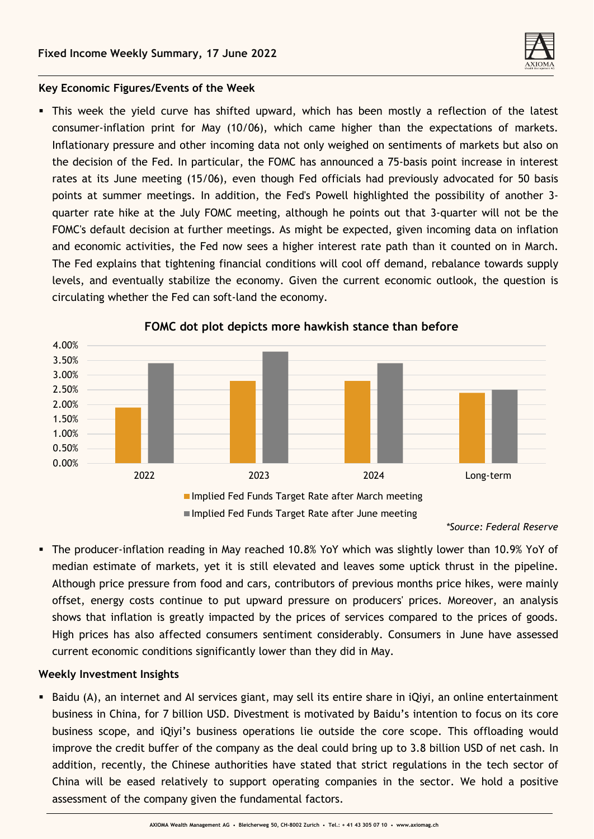

## **Key Economic Figures/Events of the Week**

**.** This week the yield curve has shifted upward, which has been mostly a reflection of the latest consumer-inflation print for May (10/06), which came higher than the expectations of markets. Inflationary pressure and other incoming data not only weighed on sentiments of markets but also on the decision of the Fed. In particular, the FOMC has announced a 75-basis point increase in interest rates at its June meeting (15/06), even though Fed officials had previously advocated for 50 basis points at summer meetings. In addition, the Fed's Powell highlighted the possibility of another 3 quarter rate hike at the July FOMC meeting, although he points out that 3-quarter will not be the FOMC's default decision at further meetings. As might be expected, given incoming data on inflation and economic activities, the Fed now sees a higher interest rate path than it counted on in March. The Fed explains that tightening financial conditions will cool off demand, rebalance towards supply levels, and eventually stabilize the economy. Given the current economic outlook, the question is circulating whether the Fed can soft-land the economy.



### **FOMC dot plot depicts more hawkish stance than before**

*\*Source: Federal Reserve*

▪ The producer-inflation reading in May reached 10.8% YoY which was slightly lower than 10.9% YoY of median estimate of markets, yet it is still elevated and leaves some uptick thrust in the pipeline. Although price pressure from food and cars, contributors of previous months price hikes, were mainly offset, energy costs continue to put upward pressure on producers' prices. Moreover, an analysis shows that inflation is greatly impacted by the prices of services compared to the prices of goods. High prices has also affected consumers sentiment considerably. Consumers in June have assessed current economic conditions significantly lower than they did in May.

## **Weekly Investment Insights**

■ Baidu (A), an internet and AI services giant, may sell its entire share in iQiyi, an online entertainment business in China, for 7 billion USD. Divestment is motivated by Baidu's intention to focus on its core business scope, and iQiyi's business operations lie outside the core scope. This offloading would improve the credit buffer of the company as the deal could bring up to 3.8 billion USD of net cash. In addition, recently, the Chinese authorities have stated that strict regulations in the tech sector of China will be eased relatively to support operating companies in the sector. We hold a positive assessment of the company given the fundamental factors.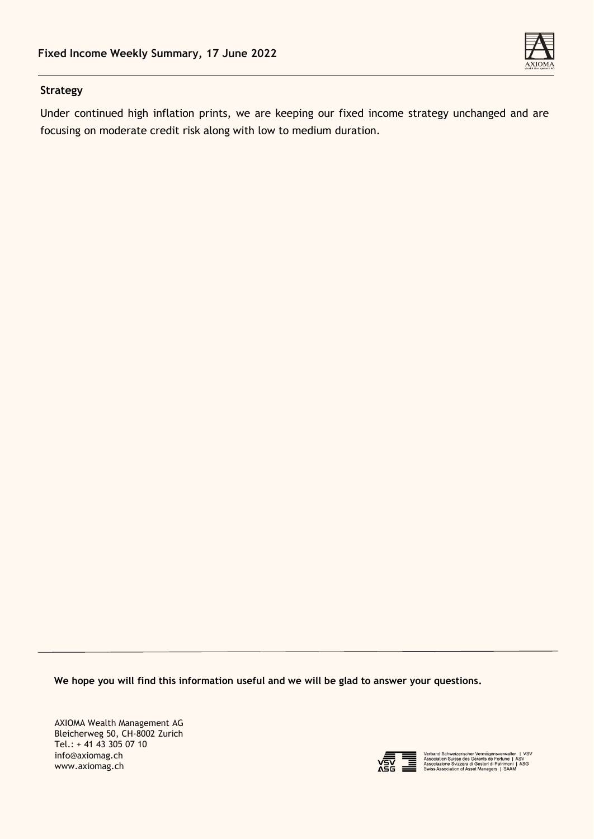

# **Strategy**

Under continued high inflation prints, we are keeping our fixed income strategy unchanged and are focusing on moderate credit risk along with low to medium duration.

**We hope you will find this information useful and we will be glad to answer your questions.**

AXIOMA Wealth Management AG Bleicherweg 50, CH-8002 Zurich Tel.: + 41 43 305 07 10 info@axiomag.ch www.axiomag.ch



Verband Schweizerischer Vermögensverwalter | VSV<br>Association Suisse des Gérants de Fortune | ASV<br>Associazione Svizzera di Gestori di Patrimoni | ASG<br>Swiss Association of Asset Managers | SAAM